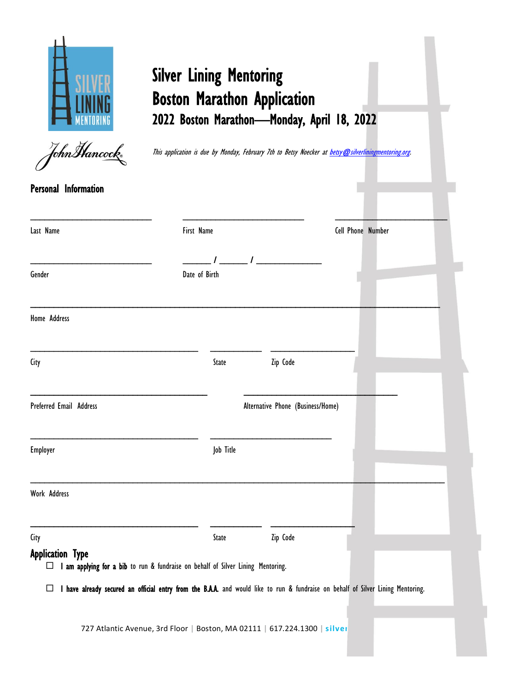

# Silver Lining Mentoring Boston Marathon Application 2022 Boston Marathon—Monday, April 18, 2022



This application is due by Monday, February 7th to Betsy Noecker at betsy@silverliningmentoring.org.

| First Name<br>Date of Birth<br>State | Zip Code<br>Alternative Phone (Business/Home) |                                                                                  | Cell Phone Number |                                                                                                                                  |
|--------------------------------------|-----------------------------------------------|----------------------------------------------------------------------------------|-------------------|----------------------------------------------------------------------------------------------------------------------------------|
|                                      |                                               |                                                                                  |                   |                                                                                                                                  |
|                                      |                                               |                                                                                  |                   |                                                                                                                                  |
|                                      |                                               |                                                                                  |                   |                                                                                                                                  |
|                                      |                                               |                                                                                  |                   |                                                                                                                                  |
|                                      |                                               |                                                                                  |                   |                                                                                                                                  |
|                                      |                                               |                                                                                  |                   |                                                                                                                                  |
| Job Title                            |                                               |                                                                                  |                   |                                                                                                                                  |
|                                      |                                               |                                                                                  |                   |                                                                                                                                  |
| State                                | Zip Code                                      |                                                                                  |                   |                                                                                                                                  |
|                                      |                                               |                                                                                  |                   |                                                                                                                                  |
|                                      |                                               | I am applying for a bib to run & fundraise on behalf of Silver Lining Mentoring. |                   | I have already secured an official entry from the B.A.A. and would like to run & fundraise on behalf of Silver Lining Mentoring. |

727 Atlantic Avenue, 3rd Floor **|** Boston, MA 02111 **|** 617.224.1300 **| silverliningmentoring.org**

1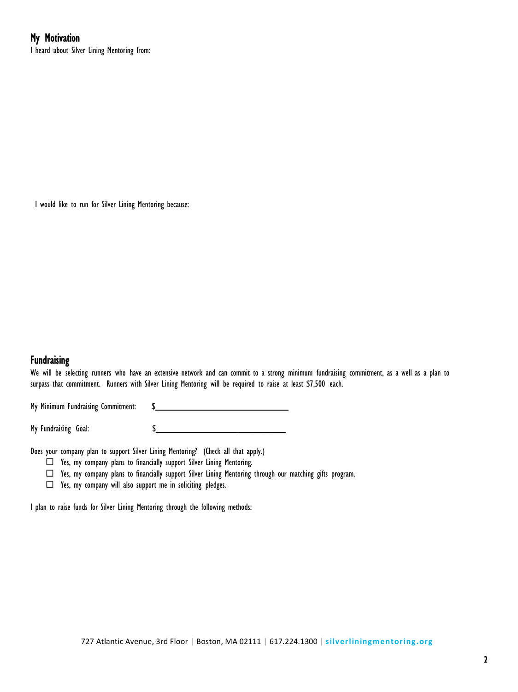## My Motivation

I heard about Silver Lining Mentoring from:

I would like to run for Silver Lining Mentoring because:

#### **Fundraising**

We will be selecting runners who have an extensive network and can commit to a strong minimum fundraising commitment, as a well as a plan to surpass that commitment. Runners with Silver Lining Mentoring will be required to raise at least \$7,500 each.

My Minimum Fundraising Commitment: \$

My Fundraising Goal: \$

Does your company plan to support Silver Lining Mentoring? (Check all that apply.)

 $\Box$  Yes, my company plans to financially support Silver Lining Mentoring.

Yes, my company plans to financially support Silver Lining Mentoring through our matching gifts program.

 $\Box$  Yes, my company will also support me in soliciting pledges.

I plan to raise funds for Silver Lining Mentoring through the following methods: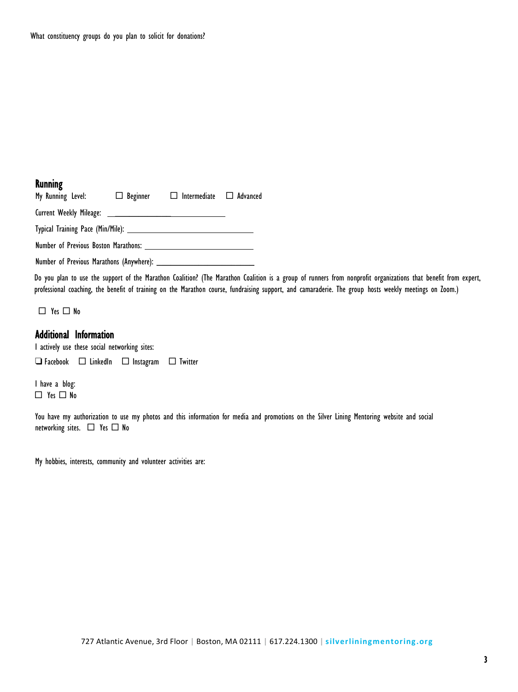#### **Running**

My Running Level:  $\Box$  Beginner  $\Box$  Intermediate  $\Box$  Advanced Current Weekly Mileage: \_ Typical Training Pace (Min/Mile): Number of Previous Boston Marathons: Number of Previous Marathons (Anywhere): \_\_\_\_\_\_\_\_\_\_\_\_\_\_\_\_\_\_\_\_\_

Do you plan to use the support of the Marathon Coalition? (The Marathon Coalition is a group of runners from nonprofit organizations that benefit from expert, professional coaching, the benefit of training on the Marathon course, fundraising support, and camaraderie. The group hosts weekly meetings on Zoom.)

 $\Box$  Yes  $\Box$  No

#### Additional Information

I actively use these social networking sites:

 $\Box$  Facebook  $\Box$  LinkedIn  $\Box$  Instagram  $\Box$  Twitter

I have a blog:  $\Box$  Yes  $\Box$  No

You have my authorization to use my photos and this information for media and promotions on the Silver Lining Mentoring website and social networking sites.  $\Box$  Yes  $\Box$  No

My hobbies, interests, community and volunteer activities are: